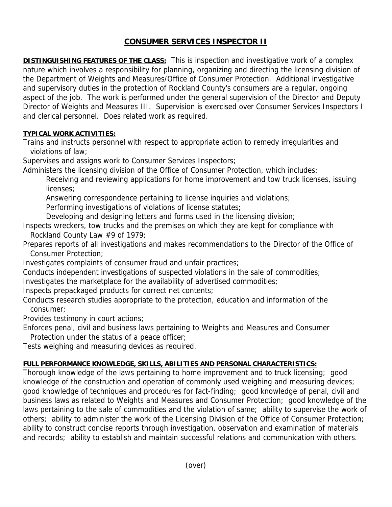## **CONSUMER SERVICES INSPECTOR II**

**DISTINGUISHING FEATURES OF THE CLASS:** This is inspection and investigative work of a complex nature which involves a responsibility for planning, organizing and directing the licensing division of the Department of Weights and Measures/Office of Consumer Protection. Additional investigative and supervisory duties in the protection of Rockland County's consumers are a regular, ongoing aspect of the job. The work is performed under the general supervision of the Director and Deputy Director of Weights and Measures III. Supervision is exercised over Consumer Services Inspectors I and clerical personnel. Does related work as required.

## **TYPICAL WORK ACTIVITIES:**

Trains and instructs personnel with respect to appropriate action to remedy irregularities and violations of law;

Supervises and assigns work to Consumer Services Inspectors;

Administers the licensing division of the Office of Consumer Protection, which includes:

 Receiving and reviewing applications for home improvement and tow truck licenses, issuing licenses;

Answering correspondence pertaining to license inquiries and violations;

Performing investigations of violations of license statutes;

Developing and designing letters and forms used in the licensing division;

Inspects wreckers, tow trucks and the premises on which they are kept for compliance with Rockland County Law #9 of 1979;

Prepares reports of all investigations and makes recommendations to the Director of the Office of Consumer Protection;

Investigates complaints of consumer fraud and unfair practices;

Conducts independent investigations of suspected violations in the sale of commodities;

Investigates the marketplace for the availability of advertised commodities;

Inspects prepackaged products for correct net contents;

Conducts research studies appropriate to the protection, education and information of the consumer;

Provides testimony in court actions;

Enforces penal, civil and business laws pertaining to Weights and Measures and Consumer Protection under the status of a peace officer;

Tests weighing and measuring devices as required.

## **FULL PERFORMANCE KNOWLEDGE, SKILLS, ABILITIES AND PERSONAL CHARACTERISTICS:**

Thorough knowledge of the laws pertaining to home improvement and to truck licensing; good knowledge of the construction and operation of commonly used weighing and measuring devices; good knowledge of techniques and procedures for fact-finding; good knowledge of penal, civil and business laws as related to Weights and Measures and Consumer Protection; good knowledge of the laws pertaining to the sale of commodities and the violation of same; ability to supervise the work of others; ability to administer the work of the Licensing Division of the Office of Consumer Protection; ability to construct concise reports through investigation, observation and examination of materials and records; ability to establish and maintain successful relations and communication with others.